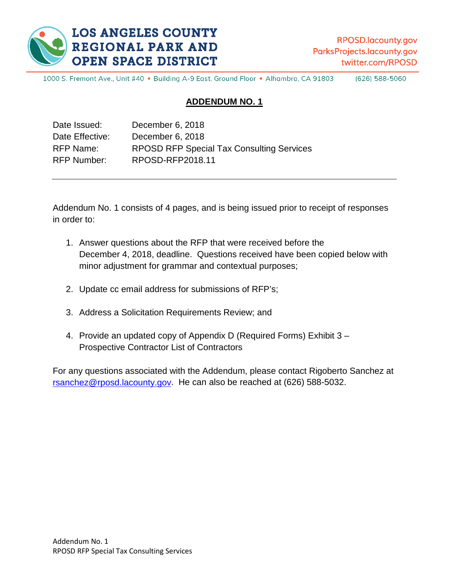

RPOSD.lacounty.gov ParksProjects.lacounty.gov twitter.com/RPOSD

1000 S. Fremont Ave., Unit #40 · Building A-9 East, Ground Floor · Alhambra, CA 91803 (626) 588-5060

#### **ADDENDUM NO. 1**

| Date Issued:       | December 6, 2018                                 |
|--------------------|--------------------------------------------------|
| Date Effective:    | December 6, 2018                                 |
| RFP Name:          | <b>RPOSD RFP Special Tax Consulting Services</b> |
| <b>RFP Number:</b> | RPOSD-RFP2018.11                                 |

Addendum No. 1 consists of 4 pages, and is being issued prior to receipt of responses in order to:

- 1. Answer questions about the RFP that were received before the December 4, 2018, deadline. Questions received have been copied below with minor adjustment for grammar and contextual purposes;
- 2. Update cc email address for submissions of RFP's;
- 3. Address a Solicitation Requirements Review; and
- 4. Provide an updated copy of Appendix D (Required Forms) Exhibit 3 Prospective Contractor List of Contractors

For any questions associated with the Addendum, please contact Rigoberto Sanchez at [rsanchez@rposd.lacounty.gov.](mailto:rsanchez@rposd.lacounty.gov) He can also be reached at (626) 588-5032.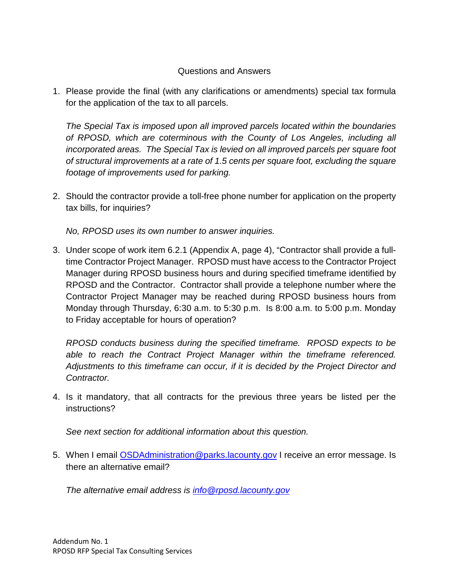#### Questions and Answers

1. Please provide the final (with any clarifications or amendments) special tax formula for the application of the tax to all parcels.

*The Special Tax is imposed upon all improved parcels located within the boundaries of RPOSD, which are coterminous with the County of Los Angeles, including all incorporated areas. The Special Tax is levied on all improved parcels per square foot of structural improvements at a rate of 1.5 cents per square foot, excluding the square footage of improvements used for parking.*

2. Should the contractor provide a toll-free phone number for application on the property tax bills, for inquiries?

*No, RPOSD uses its own number to answer inquiries.* 

3. Under scope of work item 6.2.1 (Appendix A, page 4), "Contractor shall provide a fulltime Contractor Project Manager. RPOSD must have access to the Contractor Project Manager during RPOSD business hours and during specified timeframe identified by RPOSD and the Contractor. Contractor shall provide a telephone number where the Contractor Project Manager may be reached during RPOSD business hours from Monday through Thursday, 6:30 a.m. to 5:30 p.m. Is 8:00 a.m. to 5:00 p.m. Monday to Friday acceptable for hours of operation?

*RPOSD conducts business during the specified timeframe. RPOSD expects to be able to reach the Contract Project Manager within the timeframe referenced. Adjustments to this timeframe can occur, if it is decided by the Project Director and Contractor.* 

4. Is it mandatory, that all contracts for the previous three years be listed per the instructions?

*See next section for additional information about this question.*

5. When I email **OSDAdministration @parks.lacounty.gov** I receive an error message. Is there an alternative email?

*The alternative email address is [info@rposd.lacounty.gov](mailto:info@rposd.lacounty.gov)*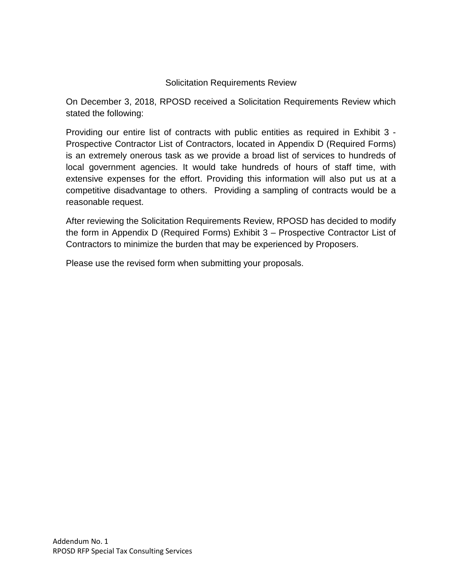### Solicitation Requirements Review

On December 3, 2018, RPOSD received a Solicitation Requirements Review which stated the following:

Providing our entire list of contracts with public entities as required in Exhibit 3 - Prospective Contractor List of Contractors, located in Appendix D (Required Forms) is an extremely onerous task as we provide a broad list of services to hundreds of local government agencies. It would take hundreds of hours of staff time, with extensive expenses for the effort. Providing this information will also put us at a competitive disadvantage to others. Providing a sampling of contracts would be a reasonable request.

After reviewing the Solicitation Requirements Review, RPOSD has decided to modify the form in Appendix D (Required Forms) Exhibit 3 – Prospective Contractor List of Contractors to minimize the burden that may be experienced by Proposers.

Please use the revised form when submitting your proposals.